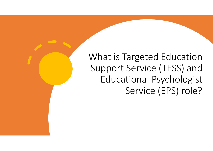### What is Targeted Education Support Service (TESS) and Educational Psychologist Service (EPS) role?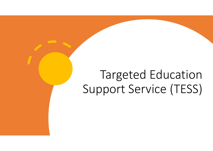# Targeted Education Support Service (TESS)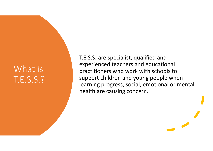### What is T.E.S.S.?

T.E.S.S. are specialist, qualified and experienced teachers and educational practitioners who work with schools to support children and young people when learning progress, social, emotional or mental health are causing concern.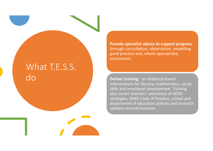#### What T.E.S.S. do

**Provide specialist advice to support progress** ‐ through consultation, observation, modelling good practice and, where appropriate, assessment.

**Deliver training** ‐ on evidence‐based interventions for literacy, mathematics, social skills and emotional development. Training also covers teachers' awareness of SEND strategies, SEND Code of Practice, school and department of education policies and research updates around inclusion.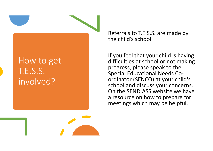#### How to get T.E.S.S. involved?

Referrals to T.E.S.S. are made by the child's school.

If you feel that your child is having difficulties at school or not making progress, please speak to the Special Educational Needs Co‐ ordinator (SENCO) at your child's school and discuss your concerns. On the SENDIASS website we have a resource on how to prepare for meetings which may be helpful.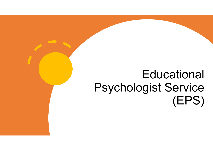## **Educational** Psychologist Service (EPS)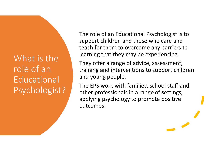What is the role of an **Educational** Psychologist? The role of an Educational Psychologist is to support children and those who care and teach for them to overcome any barriers to learning that they may be experiencing.

They offer a range of advice, assessment, training and interventions to support children and young people.

The EPS work with families, school staff and other professionals in a range of settings, applying psychology to promote positive outcomes.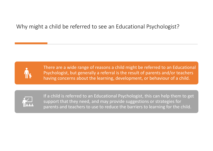#### Why might a child be referred to see an Educational Psychologist?



There are a wide range of reasons a child might be referred to an Educational Psychologist, but generally a referral is the result of parents and/or teachers having concerns about the learning, development, or behaviour of a child.



If a child is referred to an Educational Psychologist, this can help them to get support that they need, and may provide suggestions or strategies for parents and teachers to use to reduce the barriers to learning for the child.